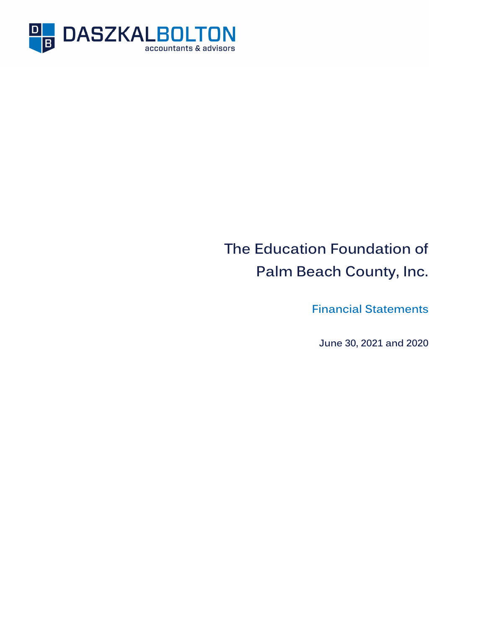

# **The Education Foundation of Palm Beach County, Inc.**

**Financial Statements** 

**June 30, 2021 and 2020**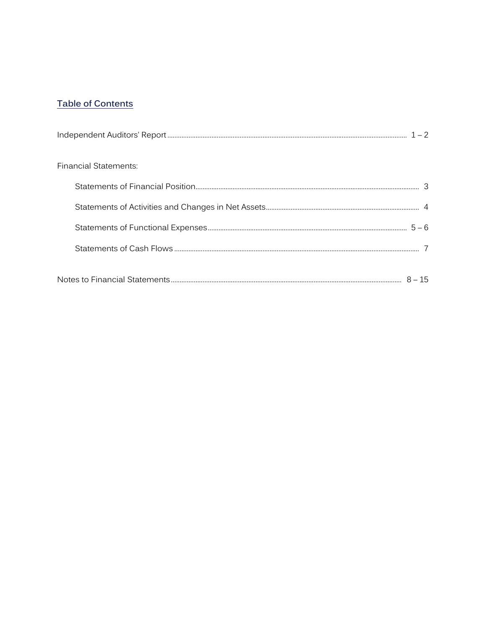# **Table of Contents**

| Financial Statements: |  |
|-----------------------|--|
|                       |  |
|                       |  |
|                       |  |
|                       |  |
|                       |  |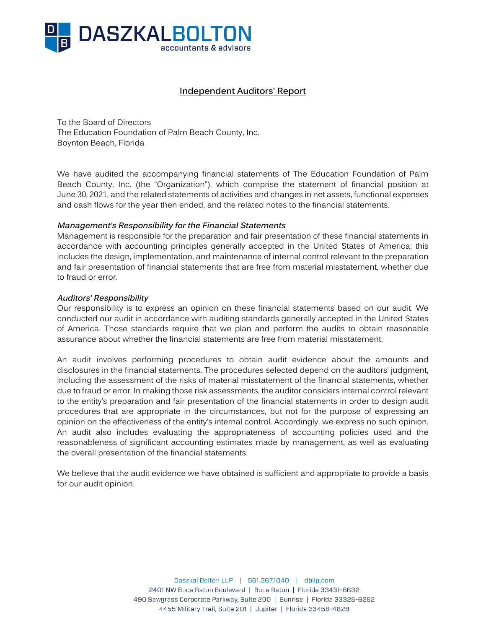

# **Independent Auditors' Report**

To the Board of Directors The Education Foundation of Palm Beach County, Inc. Boynton Beach, Florida

We have audited the accompanying financial statements of The Education Foundation of Palm Beach County, Inc. (the "Organization"), which comprise the statement of financial position at June 30, 2021, and the related statements of activities and changes in net assets, functional expenses and cash flows for the year then ended, and the related notes to the financial statements.

#### **Management's Responsibility for the Financial Statements**

Management is responsible for the preparation and fair presentation of these financial statements in accordance with accounting principles generally accepted in the United States of America; this includes the design, implementation, and maintenance of internal control relevant to the preparation and fair presentation of financial statements that are free from material misstatement, whether due to fraud or error.

#### **Auditors' Responsibility**

Our responsibility is to express an opinion on these financial statements based on our audit. We conducted our audit in accordance with auditing standards generally accepted in the United States of America. Those standards require that we plan and perform the audits to obtain reasonable assurance about whether the financial statements are free from material misstatement.

An audit involves performing procedures to obtain audit evidence about the amounts and disclosures in the financial statements. The procedures selected depend on the auditors' judgment, including the assessment of the risks of material misstatement of the financial statements, whether due to fraud or error. In making those risk assessments, the auditor considers internal control relevant to the entity's preparation and fair presentation of the financial statements in order to design audit procedures that are appropriate in the circumstances, but not for the purpose of expressing an opinion on the effectiveness of the entity's internal control. Accordingly, we express no such opinion. An audit also includes evaluating the appropriateness of accounting policies used and the reasonableness of significant accounting estimates made by management, as well as evaluating the overall presentation of the financial statements.

We believe that the audit evidence we have obtained is sufficient and appropriate to provide a basis for our audit opinion.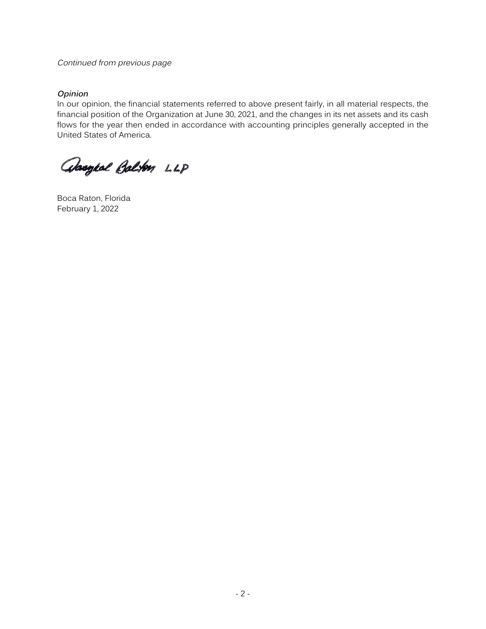#### Continued from previous page

#### **Opinion**

In our opinion, the financial statements referred to above present fairly, in all material respects, the financial position of the Organization at June 30, 2021, and the changes in its net assets and its cash flows for the year then ended in accordance with accounting principles generally accepted in the United States of America.

absoged Balton LLP

Boca Raton, Florida February 1, 2022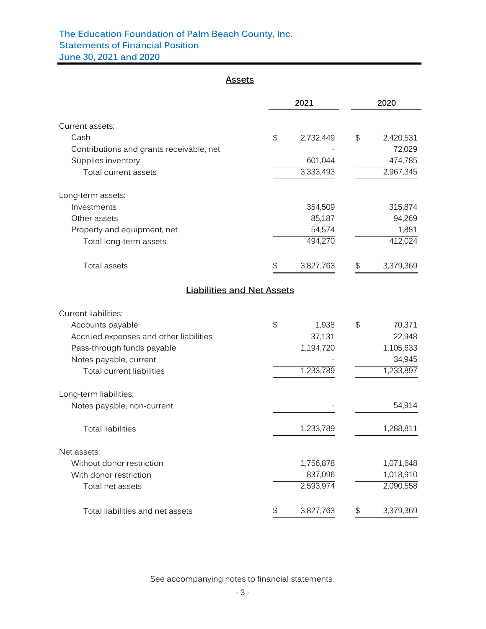# **The Education Foundation of Palm Beach County, Inc. Statements of Financial Position**

**June 30, 2021 and 2020**

# **Assets**

|                                          |                                               | 2021      |                                               | 2020      |
|------------------------------------------|-----------------------------------------------|-----------|-----------------------------------------------|-----------|
| Current assets:                          |                                               |           |                                               |           |
| Cash                                     | $\mathfrak{P}$                                | 2,732,449 | \$                                            | 2,420,531 |
| Contributions and grants receivable, net |                                               |           |                                               | 72,029    |
| Supplies inventory                       |                                               | 601,044   |                                               | 474,785   |
| Total current assets                     |                                               | 3,333,493 |                                               | 2,967,345 |
| Long-term assets:                        |                                               |           |                                               |           |
| Investments                              |                                               | 354,509   |                                               | 315,874   |
| Other assets                             |                                               | 85,187    |                                               | 94,269    |
| Property and equipment, net              |                                               | 54,574    |                                               | 1,881     |
| Total long-term assets                   |                                               | 494,270   |                                               | 412,024   |
| Total assets                             | \$                                            | 3,827,763 | \$                                            | 3,379,369 |
| <b>Liabilities and Net Assets</b>        |                                               |           |                                               |           |
| <b>Current liabilities:</b>              |                                               |           |                                               |           |
| Accounts payable                         | $\mathfrak{P}$                                | 1,938     | \$                                            | 70,371    |
| Accrued expenses and other liabilities   |                                               | 37,131    |                                               | 22,948    |
| Pass-through funds payable               |                                               | 1,194,720 |                                               | 1,105,633 |
| Notes payable, current                   |                                               |           |                                               | 34,945    |
| <b>Total current liabilities</b>         |                                               | 1,233,789 |                                               | 1,233,897 |
| Long-term liabilities:                   |                                               |           |                                               |           |
| Notes payable, non-current               |                                               |           |                                               | 54,914    |
| <b>Total liabilities</b>                 |                                               | 1,233,789 |                                               | 1,288,811 |
| Net assets:                              |                                               |           |                                               |           |
| Without donor restriction                |                                               | 1,756,878 |                                               | 1,071,648 |
| With donor restriction                   |                                               | 837,096   |                                               | 1,018,910 |
| Total net assets                         |                                               | 2,593,974 |                                               | 2,090,558 |
| Total liabilities and net assets         | $\, \, \raisebox{12pt}{$\scriptstyle \circ$}$ | 3,827,763 | $\, \, \raisebox{12pt}{$\scriptstyle \circ$}$ | 3,379,369 |

See accompanying notes to financial statements.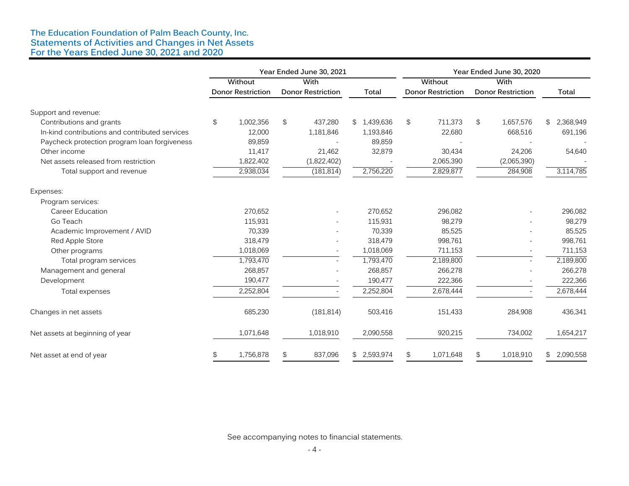#### **The Education Foundation of Palm Beach County, Inc. Statements of Activities and Changes in Net Assets For the Years Ended June 30, 2021 and 2020**

|                                                | Year Ended June 30, 2021 |                          |      |                          | Year Ended June 30, 2020 |         |                          |    |                          |                 |  |
|------------------------------------------------|--------------------------|--------------------------|------|--------------------------|--------------------------|---------|--------------------------|----|--------------------------|-----------------|--|
|                                                | Without                  |                          | With |                          |                          | Without |                          |    | With                     |                 |  |
|                                                |                          | <b>Donor Restriction</b> |      | <b>Donor Restriction</b> | <b>Total</b>             |         | <b>Donor Restriction</b> |    | <b>Donor Restriction</b> | <b>Total</b>    |  |
| Support and revenue:                           |                          |                          |      |                          |                          |         |                          |    |                          |                 |  |
| Contributions and grants                       | \$                       | 1,002,356                | \$   | 437,280                  | \$1,439,636              | \$      | 711,373                  | \$ | 1,657,576                | 2,368,949<br>\$ |  |
| In-kind contributions and contributed services |                          | 12,000                   |      | 1,181,846                | 1,193,846                |         | 22,680                   |    | 668,516                  | 691,196         |  |
| Paycheck protection program loan forgiveness   |                          | 89,859                   |      |                          | 89,859                   |         |                          |    |                          |                 |  |
| Other income                                   |                          | 11.417                   |      | 21,462                   | 32,879                   |         | 30,434                   |    | 24,206                   | 54,640          |  |
| Net assets released from restriction           |                          | 1,822,402                |      | (1,822,402)              |                          |         | 2,065,390                |    | (2,065,390)              |                 |  |
| Total support and revenue                      |                          | 2,938,034                |      | (181, 814)               | 2,756,220                |         | 2,829,877                |    | 284,908                  | 3,114,785       |  |
| Expenses:                                      |                          |                          |      |                          |                          |         |                          |    |                          |                 |  |
| Program services:                              |                          |                          |      |                          |                          |         |                          |    |                          |                 |  |
| <b>Career Education</b>                        |                          | 270,652                  |      |                          | 270,652                  |         | 296,082                  |    |                          | 296,082         |  |
| Go Teach                                       |                          | 115,931                  |      |                          | 115,931                  |         | 98,279                   |    |                          | 98,279          |  |
| Academic Improvement / AVID                    |                          | 70,339                   |      |                          | 70,339                   |         | 85,525                   |    |                          | 85,525          |  |
| Red Apple Store                                |                          | 318,479                  |      |                          | 318,479                  |         | 998,761                  |    |                          | 998,761         |  |
| Other programs                                 |                          | 1,018,069                |      |                          | 1,018,069                |         | 711,153                  |    |                          | 711,153         |  |
| Total program services                         |                          | 1,793,470                |      |                          | 1,793,470                |         | 2,189,800                |    |                          | 2,189,800       |  |
| Management and general                         |                          | 268,857                  |      |                          | 268,857                  |         | 266,278                  |    |                          | 266,278         |  |
| Development                                    |                          | 190,477                  |      |                          | 190,477                  |         | 222,366                  |    |                          | 222,366         |  |
| Total expenses                                 |                          | 2,252,804                |      |                          | 2,252,804                |         | 2,678,444                |    |                          | 2,678,444       |  |
| Changes in net assets                          |                          | 685,230                  |      | (181, 814)               | 503,416                  |         | 151,433                  |    | 284,908                  | 436,341         |  |
| Net assets at beginning of year                |                          | 1,071,648                |      | 1,018,910                | 2,090,558                |         | 920,215                  |    | 734,002                  | 1,654,217       |  |
| Net asset at end of year                       | \$                       | 1,756,878                | \$   | 837,096                  | \$2,593,974              | \$      | 1,071,648                | \$ | 1,018,910                | 2,090,558<br>\$ |  |

See accompanying notes to financial statements.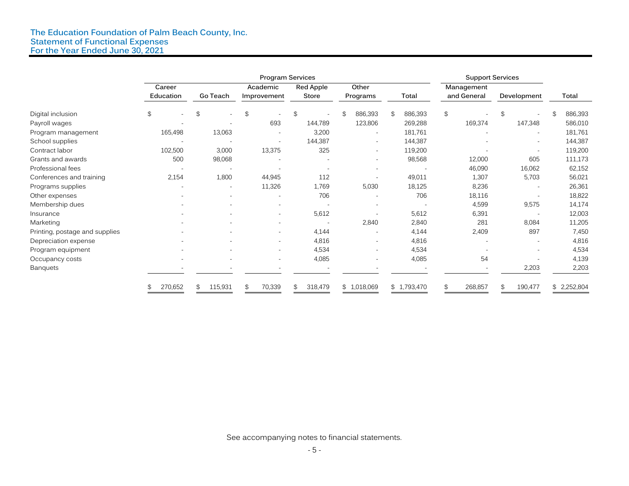#### **The Education Foundation of Palm Beach County, Inc. Statement of Functional Expenses For the Year Ended June 30, 2021**

|                                | <b>Program Services</b> |                                |                                |                |                          |               | <b>Support Services</b> |                                            |               |  |
|--------------------------------|-------------------------|--------------------------------|--------------------------------|----------------|--------------------------|---------------|-------------------------|--------------------------------------------|---------------|--|
|                                | Career                  |                                | Red Apple<br>Other<br>Academic |                |                          | Management    |                         |                                            |               |  |
|                                | Education               | Go Teach                       | Improvement                    | Store          | Programs                 | Total         | and General             | Development                                | Total         |  |
| Digital inclusion              | \$<br>$\sim$            | \$<br>$\overline{\phantom{a}}$ | $\mathfrak{P}$                 | $\mathfrak{S}$ | 886,393<br>\$            | 886,393<br>\$ | $\mathfrak{P}$          | $\mathfrak{L}$<br>$\overline{\phantom{a}}$ | 886,393<br>\$ |  |
| Payroll wages                  |                         |                                | 693                            | 144,789        | 123,806                  | 269,288       | 169,374                 | 147,348                                    | 586,010       |  |
| Program management             | 165,498                 | 13,063                         |                                | 3,200          | $\qquad \qquad -$        | 181,761       |                         | $\overline{\phantom{a}}$                   | 181,761       |  |
| School supplies                |                         |                                | $\overline{\phantom{a}}$       | 144,387        | $\sim$                   | 144,387       |                         | $\overline{\phantom{a}}$                   | 144,387       |  |
| Contract labor                 | 102,500                 | 3,000                          | 13,375                         | 325            | ۰.                       | 119,200       |                         | $\overline{\phantom{a}}$                   | 119,200       |  |
| Grants and awards              | 500                     | 98,068                         |                                |                | $\qquad \qquad -$        | 98,568        | 12,000                  | 605                                        | 111,173       |  |
| Professional fees              |                         |                                |                                |                | $\qquad \qquad -$        |               | 46,090                  | 16,062                                     | 62,152        |  |
| Conferences and training       | 2,154                   | 1,800                          | 44,945                         | 112            |                          | 49,011        | 1,307                   | 5,703                                      | 56,021        |  |
| Programs supplies              |                         | $\overline{\phantom{0}}$       | 11,326                         | 1,769          | 5,030                    | 18,125        | 8,236                   |                                            | 26,361        |  |
| Other expenses                 |                         |                                |                                | 706            |                          | 706           | 18,116                  |                                            | 18,822        |  |
| Membership dues                |                         |                                |                                |                | ٠                        |               | 4,599                   | 9,575                                      | 14,174        |  |
| Insurance                      |                         |                                | $\sim$                         | 5,612          |                          | 5,612         | 6,391                   |                                            | 12,003        |  |
| Marketing                      |                         |                                |                                |                | 2,840                    | 2,840         | 281                     | 8,084                                      | 11,205        |  |
| Printing, postage and supplies |                         |                                |                                | 4,144          |                          | 4,144         | 2,409                   | 897                                        | 7,450         |  |
| Depreciation expense           |                         |                                | $\sim$                         | 4,816          | $\overline{\phantom{a}}$ | 4,816         |                         | $\overline{\phantom{a}}$                   | 4,816         |  |
| Program equipment              |                         |                                | $\overline{\phantom{a}}$       | 4,534          | $\qquad \qquad -$        | 4,534         |                         |                                            | 4,534         |  |
| Occupancy costs                |                         |                                | $\sim$                         | 4,085          | ٠                        | 4,085         | 54                      |                                            | 4,139         |  |
| <b>Banquets</b>                |                         |                                |                                |                |                          |               |                         | 2,203                                      | 2,203         |  |
|                                | 270,652                 | 115,931<br>\$                  | 70,339<br>\$                   | 318,479<br>\$  | \$1,018,069              | \$1,793,470   | 268,857<br>\$           | 190,477<br>\$                              | \$2,252,804   |  |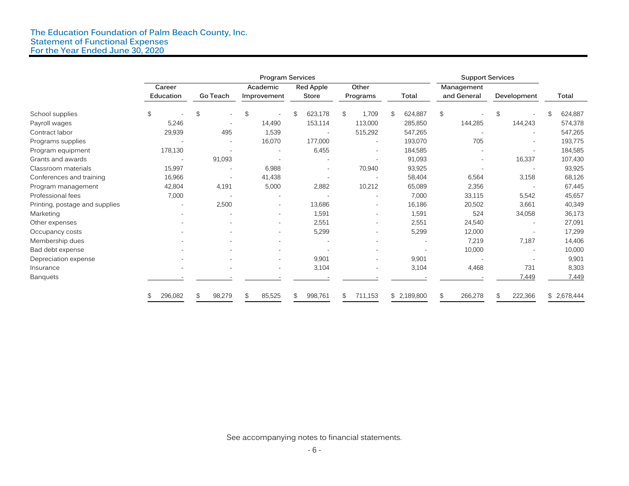#### **The Education Foundation of Palm Beach County, Inc. Statement of Functional Expenses For the Year Ended June 30, 2020**

|                                | <b>Program Services</b>  |                                            |                |                          |                          | <b>Support Services</b> |               |               |             |
|--------------------------------|--------------------------|--------------------------------------------|----------------|--------------------------|--------------------------|-------------------------|---------------|---------------|-------------|
|                                | Career                   |                                            | Academic       | Red Apple                | Other                    |                         | Management    |               |             |
|                                | Education                | Go Teach                                   | Improvement    | Store                    | Programs                 | <b>Total</b>            | and General   | Development   | Total       |
| School supplies                | \$                       | $\mathfrak{L}$<br>$\overline{\phantom{a}}$ | $\mathfrak{P}$ | 623,178<br>\$            | 1,709<br>\$              | 624,887<br>\$           | \$            | \$            | 624,887     |
| Payroll wages                  | 5,246                    |                                            | 14,490         | 153,114                  | 113,000                  | 285,850                 | 144,285       | 144,243       | 574,378     |
| Contract labor                 | 29,939                   | 495                                        | 1,539          |                          | 515,292                  | 547,265                 |               |               | 547,265     |
| Programs supplies              |                          | $\overline{\phantom{a}}$                   | 16,070         | 177,000                  | $\overline{\phantom{a}}$ | 193,070                 | 705           |               | 193,775     |
| Program equipment              | 178,130                  |                                            |                | 6,455                    |                          | 184,585                 |               |               | 184,585     |
| Grants and awards              | $\overline{a}$           | 91,093                                     |                | $\overline{a}$           |                          | 91,093                  |               | 16,337        | 107,430     |
| Classroom materials            | 15,997                   |                                            | 6,988          | $\overline{\phantom{a}}$ | 70,940                   | 93,925                  |               |               | 93,925      |
| Conferences and training       | 16,966                   |                                            | 41,438         |                          |                          | 58,404                  | 6,564         | 3,158         | 68,126      |
| Program management             | 42,804                   | 4,191                                      | 5,000          | 2,882                    | 10,212                   | 65,089                  | 2,356         |               | 67,445      |
| Professional fees              | 7,000                    |                                            |                |                          |                          | 7,000                   | 33,115        | 5,542         | 45,657      |
| Printing, postage and supplies | $\overline{\phantom{a}}$ | 2,500                                      |                | 13,686                   |                          | 16,186                  | 20,502        | 3,661         | 40,349      |
| Marketing                      |                          |                                            |                | 1,591                    |                          | 1,591                   | 524           | 34,058        | 36,173      |
| Other expenses                 |                          |                                            |                | 2,551                    |                          | 2,551                   | 24,540        |               | 27,091      |
| Occupancy costs                |                          |                                            |                | 5,299                    |                          | 5,299                   | 12,000        |               | 17,299      |
| Membership dues                |                          |                                            |                |                          |                          |                         | 7,219         | 7,187         | 14,406      |
| Bad debt expense               |                          |                                            |                |                          |                          |                         | 10,000        |               | 10,000      |
| Depreciation expense           |                          |                                            | ٠              | 9,901                    | $\overline{\phantom{a}}$ | 9,901                   |               |               | 9,901       |
| Insurance                      |                          |                                            |                | 3,104                    |                          | 3,104                   | 4,468         | 731           | 8,303       |
| <b>Banquets</b>                |                          |                                            |                |                          |                          |                         |               | 7,449         | 7,449       |
|                                | 296,082<br>\$            | 98,279<br>\$                               | 85,525<br>\$   | 998,761<br>\$            | \$<br>711,153            | \$2,189,800             | \$<br>266,278 | 222,366<br>\$ | \$2,678,444 |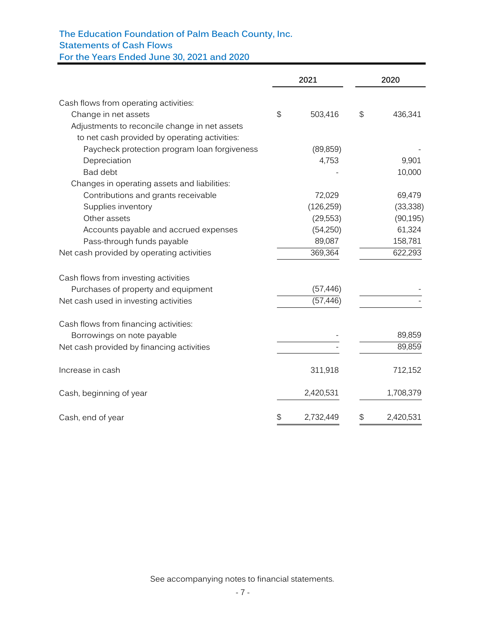# **The Education Foundation of Palm Beach County, Inc.**

**Statements of Cash Flows**

**For the Years Ended June 30, 2021 and 2020**

|                                               | 2021            | 2020            |
|-----------------------------------------------|-----------------|-----------------|
| Cash flows from operating activities:         |                 |                 |
| Change in net assets                          | \$<br>503,416   | \$<br>436,341   |
| Adjustments to reconcile change in net assets |                 |                 |
| to net cash provided by operating activities: |                 |                 |
| Paycheck protection program loan forgiveness  | (89, 859)       |                 |
| Depreciation                                  | 4,753           | 9,901           |
| <b>Bad debt</b>                               |                 | 10,000          |
| Changes in operating assets and liabilities:  |                 |                 |
| Contributions and grants receivable           | 72,029          | 69,479          |
| Supplies inventory                            | (126, 259)      | (33, 338)       |
| Other assets                                  | (29, 553)       | (90, 195)       |
| Accounts payable and accrued expenses         | (54,250)        | 61,324          |
| Pass-through funds payable                    | 89,087          | 158,781         |
| Net cash provided by operating activities     | 369,364         | 622,293         |
| Cash flows from investing activities          |                 |                 |
| Purchases of property and equipment           | (57, 446)       |                 |
| Net cash used in investing activities         | (57, 446)       |                 |
| Cash flows from financing activities:         |                 |                 |
| Borrowings on note payable                    |                 | 89,859          |
| Net cash provided by financing activities     |                 | 89,859          |
| Increase in cash                              | 311,918         | 712,152         |
| Cash, beginning of year                       | 2,420,531       | 1,708,379       |
| Cash, end of year                             | \$<br>2,732,449 | \$<br>2,420,531 |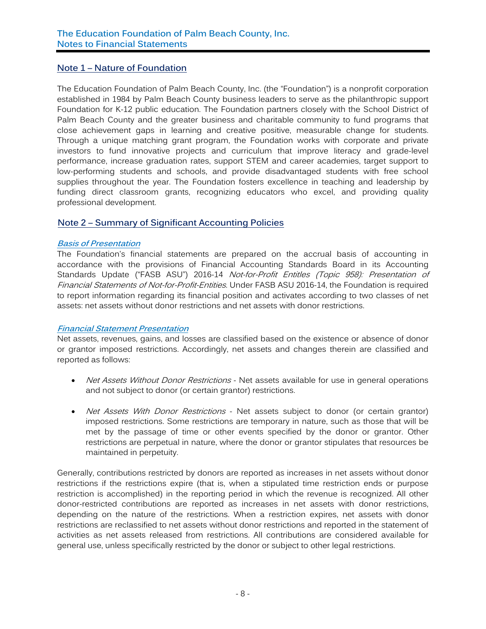# **Note 1 – Nature of Foundation**

The Education Foundation of Palm Beach County, Inc. (the "Foundation") is a nonprofit corporation established in 1984 by Palm Beach County business leaders to serve as the philanthropic support Foundation for K-12 public education. The Foundation partners closely with the School District of Palm Beach County and the greater business and charitable community to fund programs that close achievement gaps in learning and creative positive, measurable change for students. Through a unique matching grant program, the Foundation works with corporate and private investors to fund innovative projects and curriculum that improve literacy and grade-level performance, increase graduation rates, support STEM and career academies, target support to low-performing students and schools, and provide disadvantaged students with free school supplies throughout the year. The Foundation fosters excellence in teaching and leadership by funding direct classroom grants, recognizing educators who excel, and providing quality professional development.

# **Note 2 – Summary of Significant Accounting Policies**

#### **Basis of Presentation**

The Foundation's financial statements are prepared on the accrual basis of accounting in accordance with the provisions of Financial Accounting Standards Board in its Accounting Standards Update ("FASB ASU") 2016-14 Not-for-Profit Entitles (Topic 958): Presentation of Financial Statements of Not-for-Profit-Entities. Under FASB ASU 2016-14, the Foundation is required to report information regarding its financial position and activates according to two classes of net assets: net assets without donor restrictions and net assets with donor restrictions.

#### **Financial Statement Presentation**

Net assets, revenues, gains, and losses are classified based on the existence or absence of donor or grantor imposed restrictions. Accordingly, net assets and changes therein are classified and reported as follows:

- Net Assets Without Donor Restrictions Net assets available for use in general operations and not subject to donor (or certain grantor) restrictions.
- Net Assets With Donor Restrictions Net assets subject to donor (or certain grantor) imposed restrictions. Some restrictions are temporary in nature, such as those that will be met by the passage of time or other events specified by the donor or grantor. Other restrictions are perpetual in nature, where the donor or grantor stipulates that resources be maintained in perpetuity.

Generally, contributions restricted by donors are reported as increases in net assets without donor restrictions if the restrictions expire (that is, when a stipulated time restriction ends or purpose restriction is accomplished) in the reporting period in which the revenue is recognized. All other donor-restricted contributions are reported as increases in net assets with donor restrictions, depending on the nature of the restrictions. When a restriction expires, net assets with donor restrictions are reclassified to net assets without donor restrictions and reported in the statement of activities as net assets released from restrictions. All contributions are considered available for general use, unless specifically restricted by the donor or subject to other legal restrictions.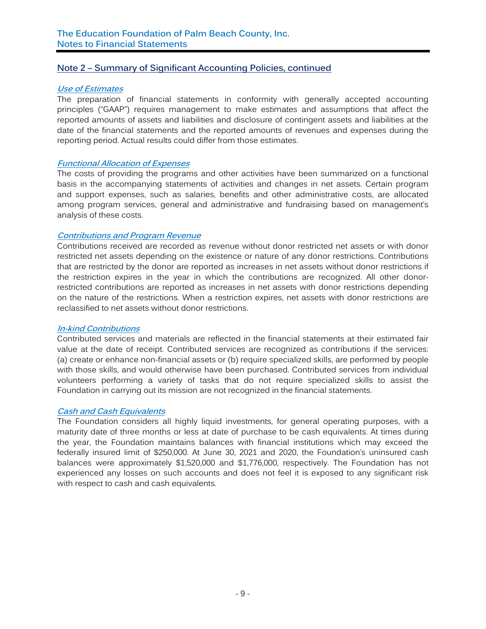# **Note 2 – Summary of Significant Accounting Policies, continued**

#### **Use of Estimates**

The preparation of financial statements in conformity with generally accepted accounting principles ("GAAP") requires management to make estimates and assumptions that affect the reported amounts of assets and liabilities and disclosure of contingent assets and liabilities at the date of the financial statements and the reported amounts of revenues and expenses during the reporting period. Actual results could differ from those estimates.

#### **Functional Allocation of Expenses**

The costs of providing the programs and other activities have been summarized on a functional basis in the accompanying statements of activities and changes in net assets. Certain program and support expenses, such as salaries, benefits and other administrative costs, are allocated among program services, general and administrative and fundraising based on management's analysis of these costs.

### **Contributions and Program Revenue**

Contributions received are recorded as revenue without donor restricted net assets or with donor restricted net assets depending on the existence or nature of any donor restrictions. Contributions that are restricted by the donor are reported as increases in net assets without donor restrictions if the restriction expires in the year in which the contributions are recognized. All other donorrestricted contributions are reported as increases in net assets with donor restrictions depending on the nature of the restrictions. When a restriction expires, net assets with donor restrictions are reclassified to net assets without donor restrictions.

#### **In-kind Contributions**

Contributed services and materials are reflected in the financial statements at their estimated fair value at the date of receipt. Contributed services are recognized as contributions if the services: (a) create or enhance non-financial assets or (b) require specialized skills, are performed by people with those skills, and would otherwise have been purchased. Contributed services from individual volunteers performing a variety of tasks that do not require specialized skills to assist the Foundation in carrying out its mission are not recognized in the financial statements.

### **Cash and Cash Equivalents**

The Foundation considers all highly liquid investments, for general operating purposes, with a maturity date of three months or less at date of purchase to be cash equivalents. At times during the year, the Foundation maintains balances with financial institutions which may exceed the federally insured limit of \$250,000. At June 30, 2021 and 2020, the Foundation's uninsured cash balances were approximately \$1,520,000 and \$1,776,000, respectively. The Foundation has not experienced any losses on such accounts and does not feel it is exposed to any significant risk with respect to cash and cash equivalents.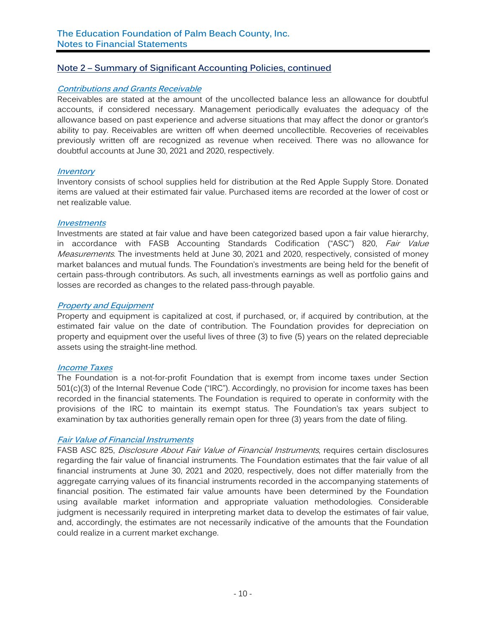# **Note 2 – Summary of Significant Accounting Policies, continued**

#### **Contributions and Grants Receivable**

Receivables are stated at the amount of the uncollected balance less an allowance for doubtful accounts, if considered necessary. Management periodically evaluates the adequacy of the allowance based on past experience and adverse situations that may affect the donor or grantor's ability to pay. Receivables are written off when deemed uncollectible. Recoveries of receivables previously written off are recognized as revenue when received. There was no allowance for doubtful accounts at June 30, 2021 and 2020, respectively.

#### **Inventory**

Inventory consists of school supplies held for distribution at the Red Apple Supply Store. Donated items are valued at their estimated fair value. Purchased items are recorded at the lower of cost or net realizable value.

#### **Investments**

Investments are stated at fair value and have been categorized based upon a fair value hierarchy, in accordance with FASB Accounting Standards Codification ("ASC") 820, Fair Value Measurements. The investments held at June 30, 2021 and 2020, respectively, consisted of money market balances and mutual funds. The Foundation's investments are being held for the benefit of certain pass-through contributors. As such, all investments earnings as well as portfolio gains and losses are recorded as changes to the related pass-through payable.

#### **Property and Equipment**

Property and equipment is capitalized at cost, if purchased, or, if acquired by contribution, at the estimated fair value on the date of contribution. The Foundation provides for depreciation on property and equipment over the useful lives of three (3) to five (5) years on the related depreciable assets using the straight-line method.

#### **Income Taxes**

The Foundation is a not-for-profit Foundation that is exempt from income taxes under Section 501(c)(3) of the Internal Revenue Code ("IRC"). Accordingly, no provision for income taxes has been recorded in the financial statements. The Foundation is required to operate in conformity with the provisions of the IRC to maintain its exempt status. The Foundation's tax years subject to examination by tax authorities generally remain open for three (3) years from the date of filing.

# **Fair Value of Financial Instruments**

FASB ASC 825, Disclosure About Fair Value of Financial Instruments, requires certain disclosures regarding the fair value of financial instruments. The Foundation estimates that the fair value of all financial instruments at June 30, 2021 and 2020, respectively, does not differ materially from the aggregate carrying values of its financial instruments recorded in the accompanying statements of financial position. The estimated fair value amounts have been determined by the Foundation using available market information and appropriate valuation methodologies. Considerable judgment is necessarily required in interpreting market data to develop the estimates of fair value, and, accordingly, the estimates are not necessarily indicative of the amounts that the Foundation could realize in a current market exchange.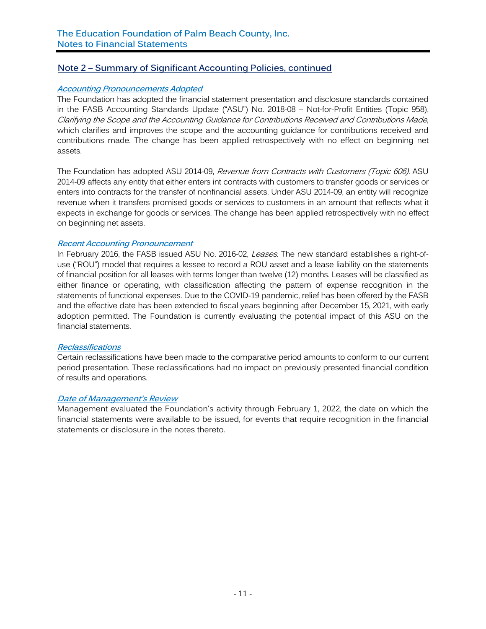# **Note 2 – Summary of Significant Accounting Policies, continued**

#### **Accounting Pronouncements Adopted**

The Foundation has adopted the financial statement presentation and disclosure standards contained in the FASB Accounting Standards Update ("ASU") No. 2018-08 – Not-for-Profit Entities (Topic 958), Clarifying the Scope and the Accounting Guidance for Contributions Received and Contributions Made, which clarifies and improves the scope and the accounting guidance for contributions received and contributions made. The change has been applied retrospectively with no effect on beginning net assets.

The Foundation has adopted ASU 2014-09, Revenue from Contracts with Customers (Topic 606). ASU 2014-09 affects any entity that either enters int contracts with customers to transfer goods or services or enters into contracts for the transfer of nonfinancial assets. Under ASU 2014-09, an entity will recognize revenue when it transfers promised goods or services to customers in an amount that reflects what it expects in exchange for goods or services. The change has been applied retrospectively with no effect on beginning net assets.

#### **Recent Accounting Pronouncement**

In February 2016, the FASB issued ASU No. 2016-02, Leases. The new standard establishes a right-ofuse ("ROU") model that requires a lessee to record a ROU asset and a lease liability on the statements of financial position for all leases with terms longer than twelve (12) months. Leases will be classified as either finance or operating, with classification affecting the pattern of expense recognition in the statements of functional expenses. Due to the COVID-19 pandemic, relief has been offered by the FASB and the effective date has been extended to fiscal years beginning after December 15, 2021, with early adoption permitted. The Foundation is currently evaluating the potential impact of this ASU on the financial statements.

#### **Reclassifications**

Certain reclassifications have been made to the comparative period amounts to conform to our current period presentation. These reclassifications had no impact on previously presented financial condition of results and operations.

#### **Date of Management's Review**

Management evaluated the Foundation's activity through February 1, 2022, the date on which the financial statements were available to be issued, for events that require recognition in the financial statements or disclosure in the notes thereto.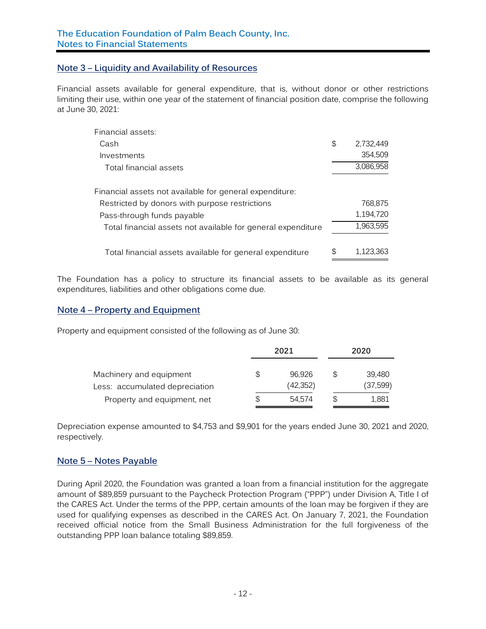# **Note 3 – Liquidity and Availability of Resources**

Financial assets available for general expenditure, that is, without donor or other restrictions limiting their use, within one year of the statement of financial position date, comprise the following at June 30, 2021:

| Financial assets:                                            |                 |
|--------------------------------------------------------------|-----------------|
| Cash                                                         | \$<br>2.732.449 |
| Investments                                                  | 354.509         |
| Total financial assets                                       | 3,086,958       |
| Financial assets not available for general expenditure:      |                 |
| Restricted by donors with purpose restrictions               | 768.875         |
| Pass-through funds payable                                   | 1,194,720       |
| Total financial assets not available for general expenditure | 1,963,595       |
| Total financial assets available for general expenditure     | \$<br>1.123.363 |

The Foundation has a policy to structure its financial assets to be available as its general expenditures, liabilities and other obligations come due.

### **Note 4 – Property and Equipment**

Property and equipment consisted of the following as of June 30:

|                                                           | 2021                      |    | 2020               |  |  |
|-----------------------------------------------------------|---------------------------|----|--------------------|--|--|
| Machinery and equipment<br>Less: accumulated depreciation | \$<br>96.926<br>(42, 352) | S  | 39.480<br>(37,599) |  |  |
| Property and equipment, net                               | \$<br>54.574              | \$ | 1.881              |  |  |

Depreciation expense amounted to \$4,753 and \$9,901 for the years ended June 30, 2021 and 2020, respectively.

# **Note 5 – Notes Payable**

During April 2020, the Foundation was granted a loan from a financial institution for the aggregate amount of \$89,859 pursuant to the Paycheck Protection Program ("PPP") under Division A, Title I of the CARES Act. Under the terms of the PPP, certain amounts of the loan may be forgiven if they are used for qualifying expenses as described in the CARES Act. On January 7, 2021, the Foundation received official notice from the Small Business Administration for the full forgiveness of the outstanding PPP loan balance totaling \$89,859.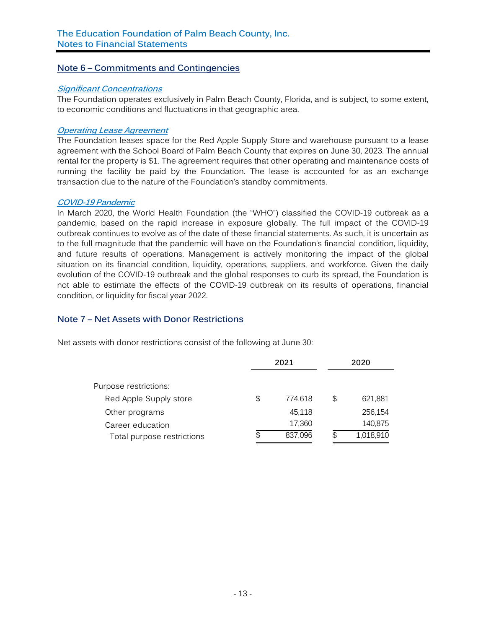# **Note 6 – Commitments and Contingencies**

#### **Significant Concentrations**

The Foundation operates exclusively in Palm Beach County, Florida, and is subject, to some extent, to economic conditions and fluctuations in that geographic area.

#### **Operating Lease Agreement**

The Foundation leases space for the Red Apple Supply Store and warehouse pursuant to a lease agreement with the School Board of Palm Beach County that expires on June 30, 2023. The annual rental for the property is \$1. The agreement requires that other operating and maintenance costs of running the facility be paid by the Foundation. The lease is accounted for as an exchange transaction due to the nature of the Foundation's standby commitments.

#### **COVID-19 Pandemic**

In March 2020, the World Health Foundation (the "WHO") classified the COVID-19 outbreak as a pandemic, based on the rapid increase in exposure globally. The full impact of the COVID-19 outbreak continues to evolve as of the date of these financial statements. As such, it is uncertain as to the full magnitude that the pandemic will have on the Foundation's financial condition, liquidity, and future results of operations. Management is actively monitoring the impact of the global situation on its financial condition, liquidity, operations, suppliers, and workforce. Given the daily evolution of the COVID-19 outbreak and the global responses to curb its spread, the Foundation is not able to estimate the effects of the COVID-19 outbreak on its results of operations, financial condition, or liquidity for fiscal year 2022.

# **Note 7 – Net Assets with Donor Restrictions**

Net assets with donor restrictions consist of the following at June 30:

|                            | 2021 |         | 2020            |
|----------------------------|------|---------|-----------------|
|                            |      |         |                 |
| Purpose restrictions:      |      |         |                 |
| Red Apple Supply store     | \$   | 774.618 | \$<br>621.881   |
| Other programs             |      | 45.118  | 256,154         |
| Career education           |      | 17,360  | 140,875         |
| Total purpose restrictions | \$   | 837,096 | \$<br>1,018,910 |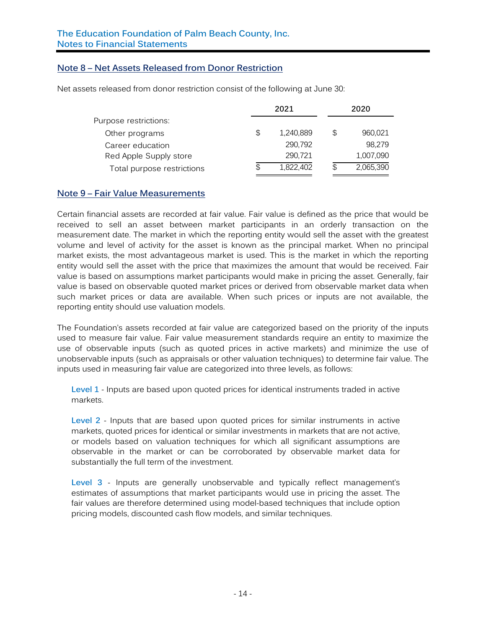# **Note 8 – Net Assets Released from Donor Restriction**

Net assets released from donor restriction consist of the following at June 30:

|                            | 2021            |     | 2020      |
|----------------------------|-----------------|-----|-----------|
| Purpose restrictions:      |                 |     |           |
| Other programs             | \$<br>1,240,889 | \$  | 960,021   |
| Career education           | 290,792         |     | 98.279    |
| Red Apple Supply store     | 290,721         |     | 1,007,090 |
| Total purpose restrictions | \$<br>1,822,402 | \$. | 2,065,390 |

#### **Note 9 – Fair Value Measurements**

Certain financial assets are recorded at fair value. Fair value is defined as the price that would be received to sell an asset between market participants in an orderly transaction on the measurement date. The market in which the reporting entity would sell the asset with the greatest volume and level of activity for the asset is known as the principal market. When no principal market exists, the most advantageous market is used. This is the market in which the reporting entity would sell the asset with the price that maximizes the amount that would be received. Fair value is based on assumptions market participants would make in pricing the asset. Generally, fair value is based on observable quoted market prices or derived from observable market data when such market prices or data are available. When such prices or inputs are not available, the reporting entity should use valuation models.

The Foundation's assets recorded at fair value are categorized based on the priority of the inputs used to measure fair value. Fair value measurement standards require an entity to maximize the use of observable inputs (such as quoted prices in active markets) and minimize the use of unobservable inputs (such as appraisals or other valuation techniques) to determine fair value. The inputs used in measuring fair value are categorized into three levels, as follows:

**Level 1** - Inputs are based upon quoted prices for identical instruments traded in active markets.

**Level 2** - Inputs that are based upon quoted prices for similar instruments in active markets, quoted prices for identical or similar investments in markets that are not active, or models based on valuation techniques for which all significant assumptions are observable in the market or can be corroborated by observable market data for substantially the full term of the investment.

**Level 3** - Inputs are generally unobservable and typically reflect management's estimates of assumptions that market participants would use in pricing the asset. The fair values are therefore determined using model-based techniques that include option pricing models, discounted cash flow models, and similar techniques.